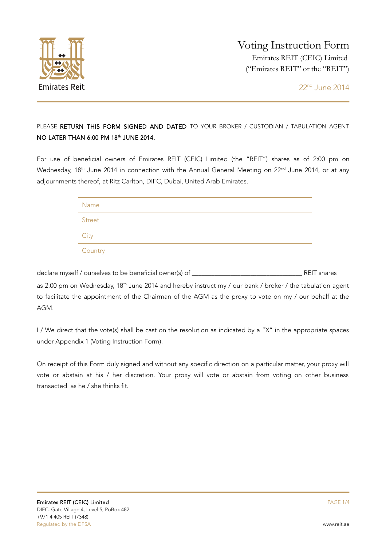

## PLEASE RETURN THIS FORM SIGNED AND DATED TO YOUR BROKER / CUSTODIAN / TABULATION AGENT NO LATER THAN 6:00 PM 18<sup>th</sup> JUNE 2014.

For use of beneficial owners of Emirates REIT (CEIC) Limited (the "REIT") shares as of 2:00 pm on Wednesday, 18<sup>th</sup> June 2014 in connection with the Annual General Meeting on 22<sup>nd</sup> June 2014, or at any adjournments thereof, at Ritz Carlton, DIFC, Dubai, United Arab Emirates.

| Name    |  |  |
|---------|--|--|
| Street  |  |  |
| City    |  |  |
| Country |  |  |

declare myself / ourselves to be beneficial owner(s) of \_\_\_\_\_\_\_\_\_\_\_\_\_\_\_\_\_\_\_\_\_\_\_\_\_\_\_\_\_\_\_\_\_\_ REIT shares as 2:00 pm on Wednesday, 18<sup>th</sup> June 2014 and hereby instruct my / our bank / broker / the tabulation agent to facilitate the appointment of the Chairman of the AGM as the proxy to vote on my / our behalf at the AGM.

I / We direct that the vote(s) shall be cast on the resolution as indicated by a "X" in the appropriate spaces under Appendix 1 (Voting Instruction Form).

On receipt of this Form duly signed and without any specific direction on a particular matter, your proxy will vote or abstain at his / her discretion. Your proxy will vote or abstain from voting on other business transacted as he / she thinks fit.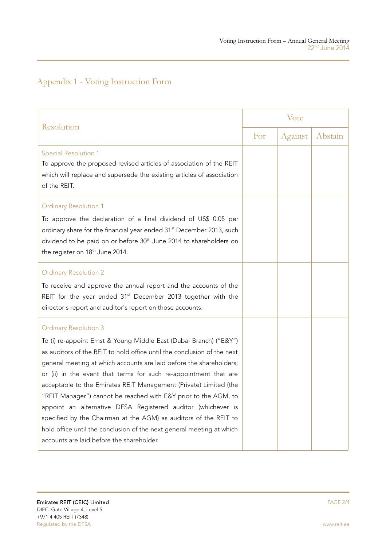## Appendix 1 - Voting Instruction Form

| Resolution                                                                                                                                                                                                                                                                                                                                                                                                                                                                                                                                                                                                                                                                                                                 |  | Vote    |         |  |
|----------------------------------------------------------------------------------------------------------------------------------------------------------------------------------------------------------------------------------------------------------------------------------------------------------------------------------------------------------------------------------------------------------------------------------------------------------------------------------------------------------------------------------------------------------------------------------------------------------------------------------------------------------------------------------------------------------------------------|--|---------|---------|--|
|                                                                                                                                                                                                                                                                                                                                                                                                                                                                                                                                                                                                                                                                                                                            |  | Against | Abstain |  |
| <b>Special Resolution 1</b><br>To approve the proposed revised articles of association of the REIT<br>which will replace and supersede the existing articles of association<br>of the REIT.                                                                                                                                                                                                                                                                                                                                                                                                                                                                                                                                |  |         |         |  |
| <b>Ordinary Resolution 1</b><br>To approve the declaration of a final dividend of US\$ 0.05 per<br>ordinary share for the financial year ended 31 <sup>st</sup> December 2013, such<br>dividend to be paid on or before 30 <sup>th</sup> June 2014 to shareholders on<br>the register on 18 <sup>th</sup> June 2014.                                                                                                                                                                                                                                                                                                                                                                                                       |  |         |         |  |
| <b>Ordinary Resolution 2</b><br>To receive and approve the annual report and the accounts of the<br>REIT for the year ended 31 <sup>st</sup> December 2013 together with the<br>director's report and auditor's report on those accounts.                                                                                                                                                                                                                                                                                                                                                                                                                                                                                  |  |         |         |  |
| <b>Ordinary Resolution 3</b><br>To (i) re-appoint Ernst & Young Middle East (Dubai Branch) ("E&Y")<br>as auditors of the REIT to hold office until the conclusion of the next<br>general meeting at which accounts are laid before the shareholders;<br>or (ii) in the event that terms for such re-appointment that are<br>acceptable to the Emirates REIT Management (Private) Limited (the<br>"REIT Manager") cannot be reached with E&Y prior to the AGM, to<br>appoint an alternative DFSA Registered auditor (whichever is<br>specified by the Chairman at the AGM) as auditors of the REIT to<br>hold office until the conclusion of the next general meeting at which<br>accounts are laid before the shareholder. |  |         |         |  |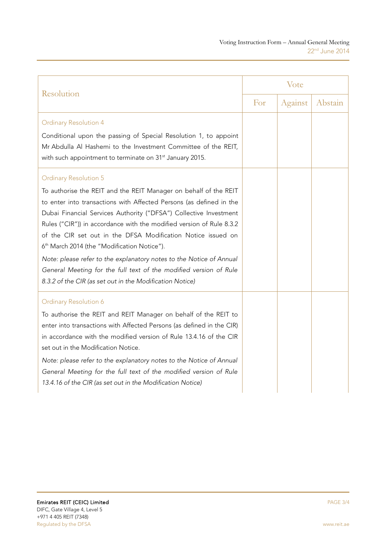| Resolution                                                                                                                                                                                                                                                                                                                                                                                                                                                                                                                                                                                                                                              |  | Vote    |         |  |
|---------------------------------------------------------------------------------------------------------------------------------------------------------------------------------------------------------------------------------------------------------------------------------------------------------------------------------------------------------------------------------------------------------------------------------------------------------------------------------------------------------------------------------------------------------------------------------------------------------------------------------------------------------|--|---------|---------|--|
|                                                                                                                                                                                                                                                                                                                                                                                                                                                                                                                                                                                                                                                         |  | Against | Abstain |  |
| <b>Ordinary Resolution 4</b><br>Conditional upon the passing of Special Resolution 1, to appoint<br>Mr Abdulla Al Hashemi to the Investment Committee of the REIT,<br>with such appointment to terminate on 31 <sup>st</sup> January 2015.                                                                                                                                                                                                                                                                                                                                                                                                              |  |         |         |  |
| <b>Ordinary Resolution 5</b><br>To authorise the REIT and the REIT Manager on behalf of the REIT<br>to enter into transactions with Affected Persons (as defined in the<br>Dubai Financial Services Authority ("DFSA") Collective Investment<br>Rules ("CIR")) in accordance with the modified version of Rule 8.3.2<br>of the CIR set out in the DFSA Modification Notice issued on<br>6 <sup>th</sup> March 2014 (the "Modification Notice").<br>Note: please refer to the explanatory notes to the Notice of Annual<br>General Meeting for the full text of the modified version of Rule<br>8.3.2 of the CIR (as set out in the Modification Notice) |  |         |         |  |
| <b>Ordinary Resolution 6</b><br>To authorise the REIT and REIT Manager on behalf of the REIT to<br>enter into transactions with Affected Persons (as defined in the CIR)<br>in accordance with the modified version of Rule 13.4.16 of the CIR<br>set out in the Modification Notice.<br>Note: please refer to the explanatory notes to the Notice of Annual<br>General Meeting for the full text of the modified version of Rule<br>13.4.16 of the CIR (as set out in the Modification Notice)                                                                                                                                                         |  |         |         |  |